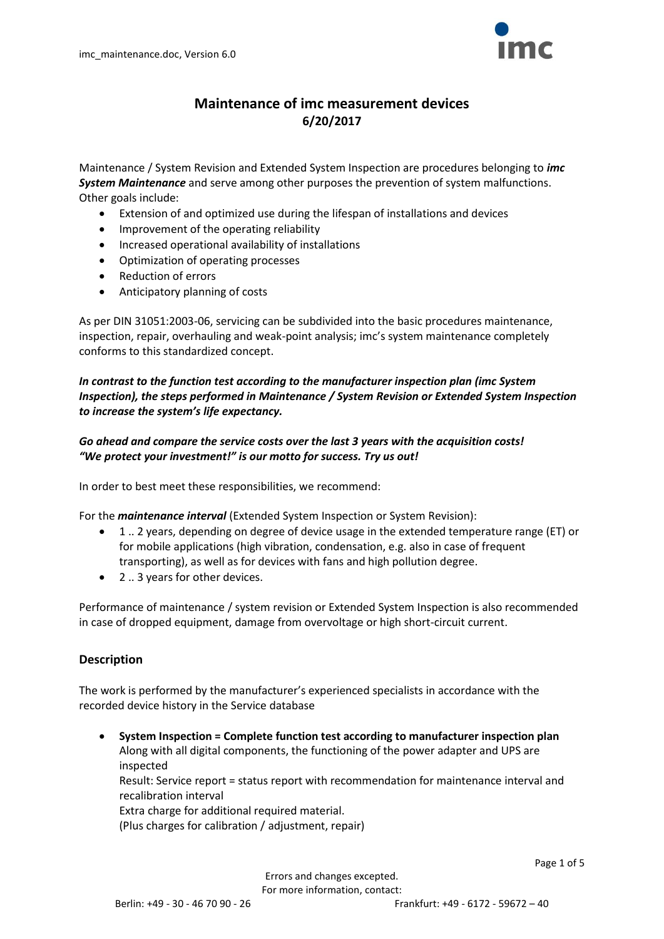

# **Maintenance of imc measurement devices 6/20/2017**

Maintenance / System Revision and Extended System Inspection are procedures belonging to *imc System Maintenance* and serve among other purposes the prevention of system malfunctions. Other goals include:

- Extension of and optimized use during the lifespan of installations and devices
- Improvement of the operating reliability
- Increased operational availability of installations
- Optimization of operating processes
- Reduction of errors
- Anticipatory planning of costs

As per DIN 31051:2003-06, servicing can be subdivided into the basic procedures maintenance, inspection, repair, overhauling and weak-point analysis; imc's system maintenance completely conforms to this standardized concept.

*In contrast to the function test according to the manufacturer inspection plan (imc System Inspection), the steps performed in Maintenance / System Revision or Extended System Inspection to increase the system's life expectancy.*

## *Go ahead and compare the service costs over the last 3 years with the acquisition costs! "We protect your investment!" is our motto for success. Try us out!*

In order to best meet these responsibilities, we recommend:

For the *maintenance interval* (Extended System Inspection or System Revision):

- 1 .. 2 years, depending on degree of device usage in the extended temperature range (ET) or for mobile applications (high vibration, condensation, e.g. also in case of frequent transporting), as well as for devices with fans and high pollution degree.
- 2 .. 3 years for other devices.

Performance of maintenance / system revision or Extended System Inspection is also recommended in case of dropped equipment, damage from overvoltage or high short-circuit current.

## **Description**

The work is performed by the manufacturer's experienced specialists in accordance with the recorded device history in the Service database

 **System Inspection = Complete function test according to manufacturer inspection plan** Along with all digital components, the functioning of the power adapter and UPS are inspected Result: Service report = status report with recommendation for maintenance interval and recalibration interval Extra charge for additional required material. (Plus charges for calibration / adjustment, repair)

Page 1 of 5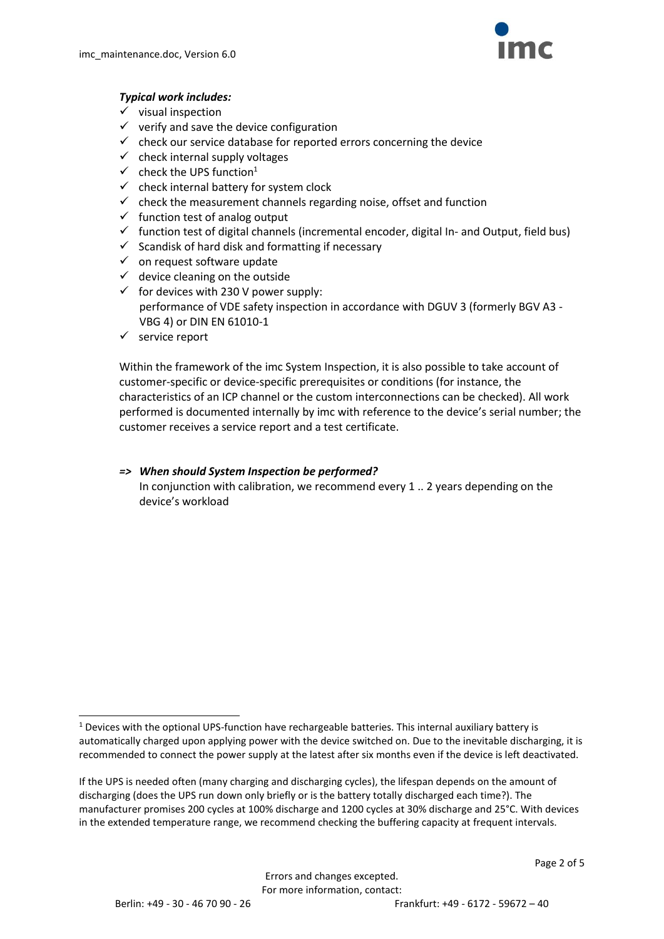

#### *Typical work includes:*

- $\checkmark$  visual inspection
- $\checkmark$  verify and save the device configuration
- $\checkmark$  check our service database for reported errors concerning the device
- $\checkmark$  check internal supply voltages
- $\checkmark$  check the UPS function<sup>1</sup>
- $\checkmark$  check internal battery for system clock
- $\checkmark$  check the measurement channels regarding noise, offset and function
- $\checkmark$  function test of analog output
- $\checkmark$  function test of digital channels (incremental encoder, digital In- and Output, field bus)
- $\checkmark$  Scandisk of hard disk and formatting if necessary
- $\checkmark$  on request software update
- $\checkmark$  device cleaning on the outside
- $\checkmark$  for devices with 230 V power supply: performance of VDE safety inspection in accordance with DGUV 3 (formerly BGV A3 - VBG 4) or DIN EN 61010-1
- $\checkmark$  service report

Within the framework of the imc System Inspection, it is also possible to take account of customer-specific or device-specific prerequisites or conditions (for instance, the characteristics of an ICP channel or the custom interconnections can be checked). All work performed is documented internally by imc with reference to the device's serial number; the customer receives a service report and a test certificate.

*=> When should System Inspection be performed?*  In conjunction with calibration, we recommend every 1 .. 2 years depending on the device's workload

 $\overline{a}$ <sup>1</sup> Devices with the optional UPS-function have rechargeable batteries. This internal auxiliary battery is automatically charged upon applying power with the device switched on. Due to the inevitable discharging, it is recommended to connect the power supply at the latest after six months even if the device is left deactivated.

If the UPS is needed often (many charging and discharging cycles), the lifespan depends on the amount of discharging (does the UPS run down only briefly or is the battery totally discharged each time?). The manufacturer promises 200 cycles at 100% discharge and 1200 cycles at 30% discharge and 25°C. With devices in the extended temperature range, we recommend checking the buffering capacity at frequent intervals.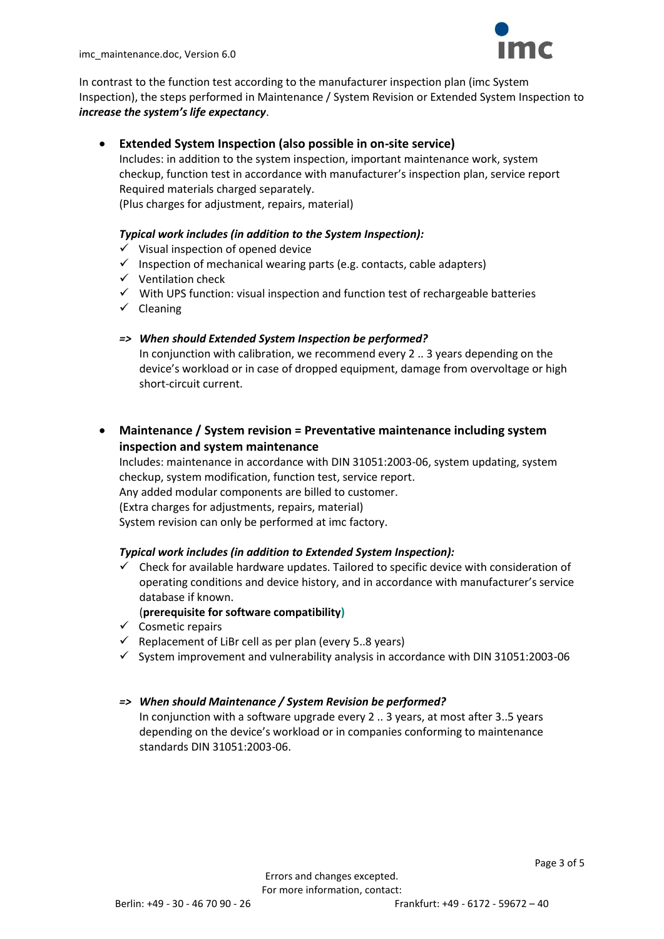

In contrast to the function test according to the manufacturer inspection plan (imc System Inspection), the steps performed in Maintenance / System Revision or Extended System Inspection to *increase the system's life expectancy*.

## **Extended System Inspection (also possible in on-site service)**

Includes: in addition to the system inspection, important maintenance work, system checkup, function test in accordance with manufacturer's inspection plan, service report Required materials charged separately.

(Plus charges for adjustment, repairs, material)

### *Typical work includes (in addition to the System Inspection):*

- $\checkmark$  Visual inspection of opened device
- $\checkmark$  Inspection of mechanical wearing parts (e.g. contacts, cable adapters)
- $\checkmark$  Ventilation check
- $\checkmark$  With UPS function: visual inspection and function test of rechargeable batteries
- $\checkmark$  Cleaning

#### *=> When should Extended System Inspection be performed?*

In conjunction with calibration, we recommend every 2 .. 3 years depending on the device's workload or in case of dropped equipment, damage from overvoltage or high short-circuit current.

 **Maintenance / System revision = Preventative maintenance including system inspection and system maintenance**

Includes: maintenance in accordance with DIN 31051:2003-06, system updating, system checkup, system modification, function test, service report. Any added modular components are billed to customer. (Extra charges for adjustments, repairs, material)

System revision can only be performed at imc factory.

#### *Typical work includes (in addition to Extended System Inspection):*

 Check for available hardware updates. Tailored to specific device with consideration of operating conditions and device history, and in accordance with manufacturer's service database if known.

#### (**prerequisite for software compatibility)**

- $\checkmark$  Cosmetic repairs
- $\checkmark$  Replacement of LiBr cell as per plan (every 5..8 years)
- $\checkmark$  System improvement and vulnerability analysis in accordance with DIN 31051:2003-06

#### *=> When should Maintenance / System Revision be performed?*

In conjunction with a software upgrade every 2 .. 3 years, at most after 3..5 years depending on the device's workload or in companies conforming to maintenance standards DIN 31051:2003-06.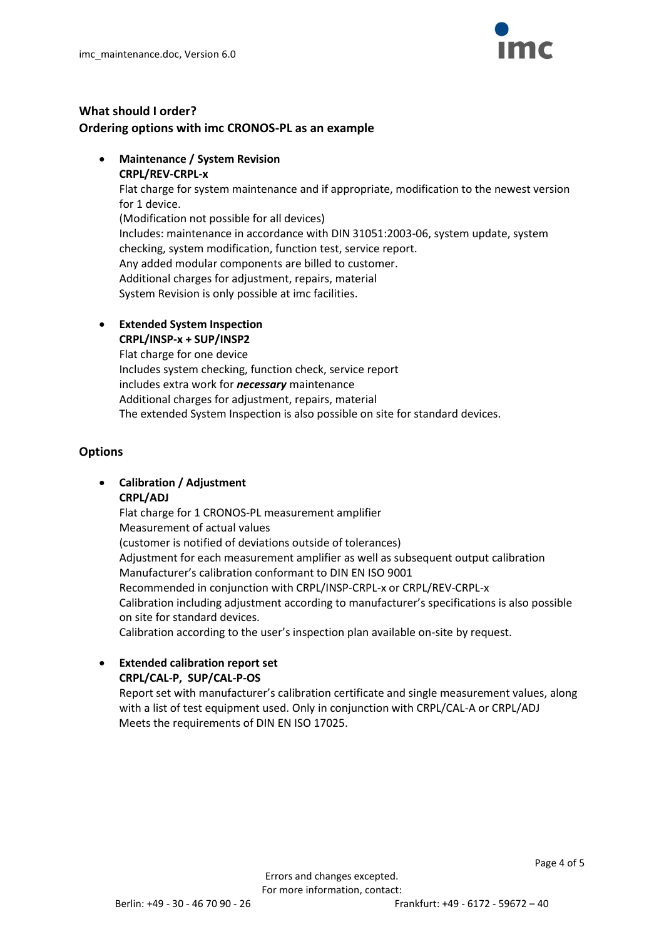

# **What should I order? Ordering options with imc CRONOS-PL as an example**

- **Maintenance / System Revision**
	- **CRPL/REV-CRPL-x**

Flat charge for system maintenance and if appropriate, modification to the newest version for 1 device.

(Modification not possible for all devices) Includes: maintenance in accordance with DIN 31051:2003-06, system update, system checking, system modification, function test, service report. Any added modular components are billed to customer. Additional charges for adjustment, repairs, material System Revision is only possible at imc facilities.

**Extended System Inspection**

**CRPL/INSP-x + SUP/INSP2** Flat charge for one device Includes system checking, function check, service report includes extra work for *necessary* maintenance Additional charges for adjustment, repairs, material The extended System Inspection is also possible on site for standard devices.

# **Options**

# **Calibration / Adjustment**

## **CRPL/ADJ**

Flat charge for 1 CRONOS-PL measurement amplifier Measurement of actual values (customer is notified of deviations outside of tolerances) Adjustment for each measurement amplifier as well as subsequent output calibration Manufacturer's calibration conformant to DIN EN ISO 9001 Recommended in conjunction with CRPL/INSP-CRPL-x or CRPL/REV-CRPL-x Calibration including adjustment according to manufacturer's specifications is also possible on site for standard devices. Calibration according to the user's inspection plan available on-site by request.

 **Extended calibration report set CRPL/CAL-P, SUP/CAL-P-OS**

> Report set with manufacturer's calibration certificate and single measurement values, along with a list of test equipment used. Only in conjunction with CRPL/CAL-A or CRPL/ADJ Meets the requirements of DIN EN ISO 17025.

Page 4 of 5